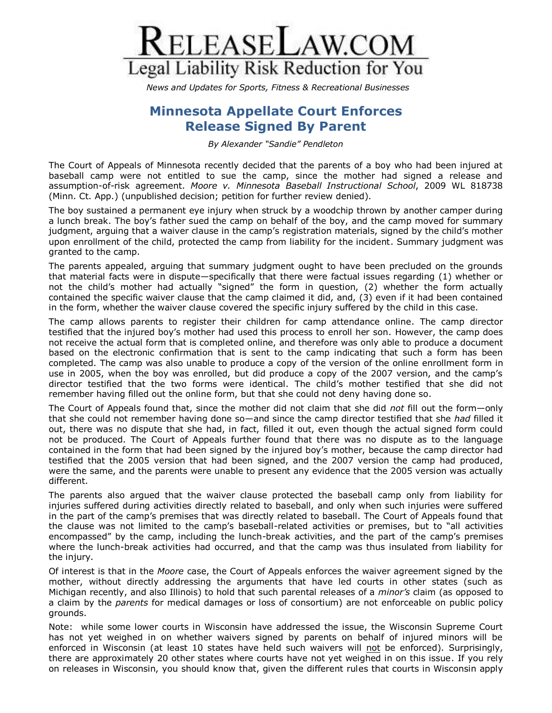

*News and Updates for Sports, Fitness & Recreational Businesses*

## **Minnesota Appellate Court Enforces Release Signed By Parent**

*By Alexander "Sandie" Pendleton* 

The Court of Appeals of Minnesota recently decided that the parents of a boy who had been injured at baseball camp were not entitled to sue the camp, since the mother had signed a release and assumption-of-risk agreement. *Moore v. Minnesota Baseball Instructional School*, 2009 WL 818738 (Minn. Ct. App.) (unpublished decision; petition for further review denied).

The boy sustained a permanent eye injury when struck by a woodchip thrown by another camper during a lunch break. The boy's father sued the camp on behalf of the boy, and the camp moved for summary judgment, arguing that a waiver clause in the camp's registration materials, signed by the child's mother upon enrollment of the child, protected the camp from liability for the incident. Summary judgment was granted to the camp.

The parents appealed, arguing that summary judgment ought to have been precluded on the grounds that material facts were in dispute—specifically that there were factual issues regarding (1) whether or not the child's mother had actually "signed" the form in question, (2) whether the form actually contained the specific waiver clause that the camp claimed it did, and, (3) even if it had been contained in the form, whether the waiver clause covered the specific injury suffered by the child in this case.

The camp allows parents to register their children for camp attendance online. The camp director testified that the injured boy's mother had used this process to enroll her son. However, the camp does not receive the actual form that is completed online, and therefore was only able to produce a document based on the electronic confirmation that is sent to the camp indicating that such a form has been completed. The camp was also unable to produce a copy of the version of the online enrollment form in use in 2005, when the boy was enrolled, but did produce a copy of the 2007 version, and the camp's director testified that the two forms were identical. The child's mother testified that she did not remember having filled out the online form, but that she could not deny having done so.

The Court of Appeals found that, since the mother did not claim that she did *not* fill out the form—only that she could not remember having done so—and since the camp director testified that she *had* filled it out, there was no dispute that she had, in fact, filled it out, even though the actual signed form could not be produced. The Court of Appeals further found that there was no dispute as to the language contained in the form that had been signed by the injured boy's mother, because the camp director had testified that the 2005 version that had been signed, and the 2007 version the camp had produced, were the same, and the parents were unable to present any evidence that the 2005 version was actually different.

The parents also argued that the waiver clause protected the baseball camp only from liability for injuries suffered during activities directly related to baseball, and only when such injuries were suffered in the part of the camp's premises that was directly related to baseball. The Court of Appeals found that the clause was not limited to the camp's baseball-related activities or premises, but to "all activities encompassed" by the camp, including the lunch-break activities, and the part of the camp's premises where the lunch-break activities had occurred, and that the camp was thus insulated from liability for the injury.

Of interest is that in the *Moore* case, the Court of Appeals enforces the waiver agreement signed by the mother, without directly addressing the arguments that have led courts in other states (such as Michigan recently, and also Illinois) to hold that such parental releases of a *minor's* claim (as opposed to a claim by the *parents* for medical damages or loss of consortium) are not enforceable on public policy grounds.

Note: while some lower courts in Wisconsin have addressed the issue, the Wisconsin Supreme Court has not yet weighed in on whether waivers signed by parents on behalf of injured minors will be enforced in Wisconsin (at least 10 states have held such waivers will not be enforced). Surprisingly, there are approximately 20 other states where courts have not yet weighed in on this issue. If you rely on releases in Wisconsin, you should know that, given the different rules that courts in Wisconsin apply